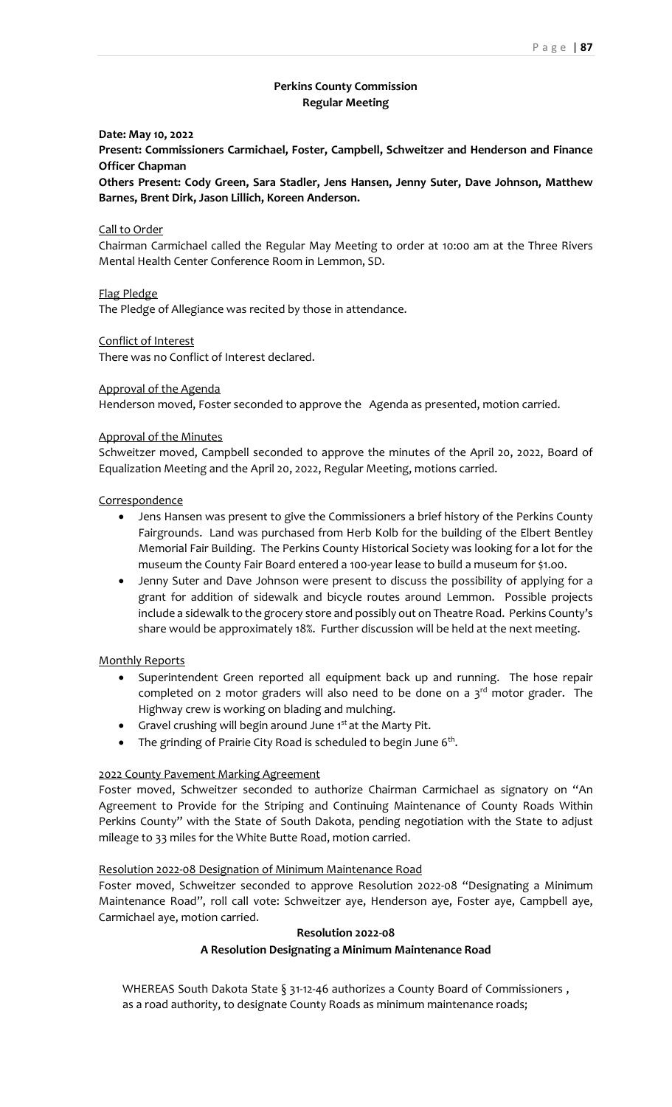# **Perkins County Commission Regular Meeting**

### **Date: May 10, 2022**

**Present: Commissioners Carmichael, Foster, Campbell, Schweitzer and Henderson and Finance Officer Chapman**

**Others Present: Cody Green, Sara Stadler, Jens Hansen, Jenny Suter, Dave Johnson, Matthew Barnes, Brent Dirk, Jason Lillich, Koreen Anderson.**

### Call to Order

Chairman Carmichael called the Regular May Meeting to order at 10:00 am at the Three Rivers Mental Health Center Conference Room in Lemmon, SD.

Flag Pledge

The Pledge of Allegiance was recited by those in attendance.

### Conflict of Interest

There was no Conflict of Interest declared.

### Approval of the Agenda

Henderson moved, Foster seconded to approve the Agenda as presented, motion carried.

### Approval of the Minutes

Schweitzer moved, Campbell seconded to approve the minutes of the April 20, 2022, Board of Equalization Meeting and the April 20, 2022, Regular Meeting, motions carried.

#### **Correspondence**

- Jens Hansen was present to give the Commissioners a brief history of the Perkins County Fairgrounds. Land was purchased from Herb Kolb for the building of the Elbert Bentley Memorial Fair Building. The Perkins County Historical Society was looking for a lot for the museum the County Fair Board entered a 100-year lease to build a museum for \$1.o0.
- Jenny Suter and Dave Johnson were present to discuss the possibility of applying for a grant for addition of sidewalk and bicycle routes around Lemmon. Possible projects include a sidewalk to the grocery store and possibly out on Theatre Road. Perkins County's share would be approximately 18%. Further discussion will be held at the next meeting.

### Monthly Reports

- Superintendent Green reported all equipment back up and running. The hose repair completed on 2 motor graders will also need to be done on a  $3<sup>rd</sup>$  motor grader. The Highway crew is working on blading and mulching.
- Gravel crushing will begin around June 1<sup>st</sup> at the Marty Pit.
- The grinding of Prairie City Road is scheduled to begin June 6<sup>th</sup>.

### 2022 County Pavement Marking Agreement

Foster moved, Schweitzer seconded to authorize Chairman Carmichael as signatory on "An Agreement to Provide for the Striping and Continuing Maintenance of County Roads Within Perkins County" with the State of South Dakota, pending negotiation with the State to adjust mileage to 33 miles for the White Butte Road, motion carried.

### Resolution 2022-08 Designation of Minimum Maintenance Road

Foster moved, Schweitzer seconded to approve Resolution 2022-08 "Designating a Minimum Maintenance Road", roll call vote: Schweitzer aye, Henderson aye, Foster aye, Campbell aye, Carmichael aye, motion carried.

### **Resolution 2022-08**

### **A Resolution Designating a Minimum Maintenance Road**

WHEREAS South Dakota State § 31-12-46 authorizes a County Board of Commissioners , as a road authority, to designate County Roads as minimum maintenance roads;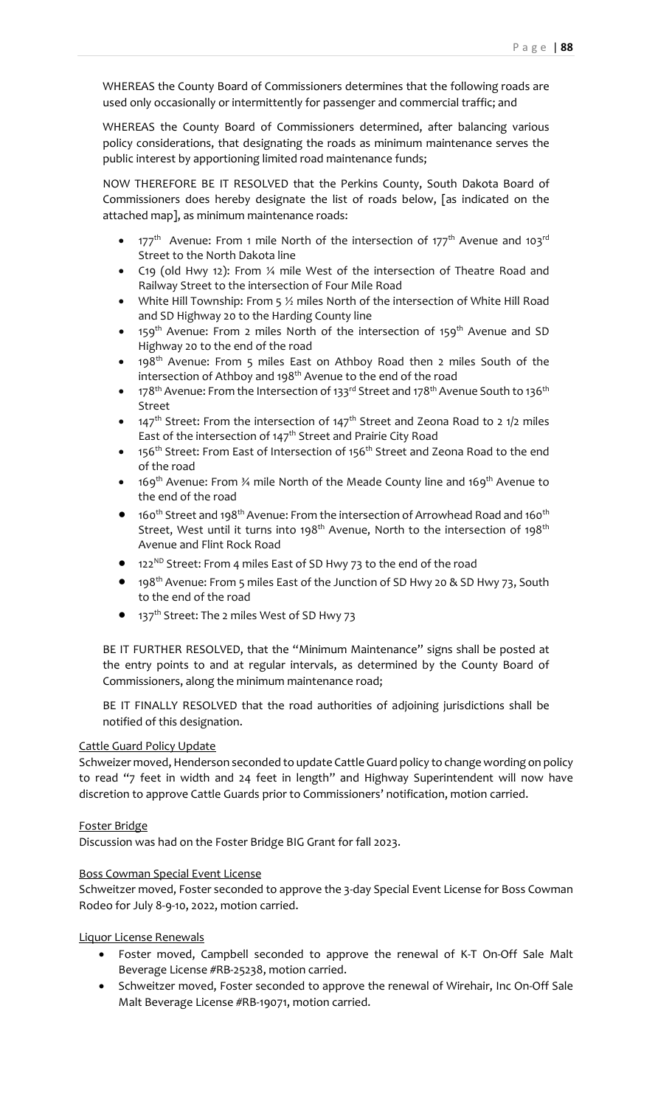WHEREAS the County Board of Commissioners determines that the following roads are used only occasionally or intermittently for passenger and commercial traffic; and

WHEREAS the County Board of Commissioners determined, after balancing various policy considerations, that designating the roads as minimum maintenance serves the public interest by apportioning limited road maintenance funds;

NOW THEREFORE BE IT RESOLVED that the Perkins County, South Dakota Board of Commissioners does hereby designate the list of roads below, [as indicated on the attached map], as minimum maintenance roads:

- $177<sup>th</sup>$  Avenue: From 1 mile North of the intersection of  $177<sup>th</sup>$  Avenue and  $103<sup>rd</sup>$ Street to the North Dakota line
- C19 (old Hwy 12): From ¼ mile West of the intersection of Theatre Road and Railway Street to the intersection of Four Mile Road
- White Hill Township: From 5  $\frac{1}{2}$  miles North of the intersection of White Hill Road and SD Highway 20 to the Harding County line
- 159<sup>th</sup> Avenue: From 2 miles North of the intersection of 159<sup>th</sup> Avenue and SD Highway 20 to the end of the road
- 198<sup>th</sup> Avenue: From 5 miles East on Athboy Road then 2 miles South of the intersection of Athboy and 198<sup>th</sup> Avenue to the end of the road
- 178<sup>th</sup> Avenue: From the Intersection of 133<sup>rd</sup> Street and 178<sup>th</sup> Avenue South to 136<sup>th</sup> Street
- 147<sup>th</sup> Street: From the intersection of 147<sup>th</sup> Street and Zeona Road to 2 1/2 miles East of the intersection of 147<sup>th</sup> Street and Prairie City Road
- 156<sup>th</sup> Street: From East of Intersection of 156<sup>th</sup> Street and Zeona Road to the end of the road
- 169<sup>th</sup> Avenue: From  $\frac{3}{4}$  mile North of the Meade County line and 169<sup>th</sup> Avenue to the end of the road
- $\bullet$  160<sup>th</sup> Street and 198<sup>th</sup> Avenue: From the intersection of Arrowhead Road and 160<sup>th</sup> Street, West until it turns into 198<sup>th</sup> Avenue, North to the intersection of 198<sup>th</sup> Avenue and Flint Rock Road
- 122<sup>ND</sup> Street: From 4 miles East of SD Hwy 73 to the end of the road
- 198<sup>th</sup> Avenue: From 5 miles East of the Junction of SD Hwy 20 & SD Hwy 73, South to the end of the road
- 137<sup>th</sup> Street: The 2 miles West of SD Hwy 73

BE IT FURTHER RESOLVED, that the "Minimum Maintenance" signs shall be posted at the entry points to and at regular intervals, as determined by the County Board of Commissioners, along the minimum maintenance road;

BE IT FINALLY RESOLVED that the road authorities of adjoining jurisdictions shall be notified of this designation.

# Cattle Guard Policy Update

Schweizer moved, Henderson seconded to update Cattle Guard policy to change wording on policy to read "7 feet in width and 24 feet in length" and Highway Superintendent will now have discretion to approve Cattle Guards prior to Commissioners' notification, motion carried.

# Foster Bridge

Discussion was had on the Foster Bridge BIG Grant for fall 2023.

## Boss Cowman Special Event License

Schweitzer moved, Foster seconded to approve the 3-day Special Event License for Boss Cowman Rodeo for July 8-9-10, 2022, motion carried.

## Liquor License Renewals

- Foster moved, Campbell seconded to approve the renewal of K-T On-Off Sale Malt Beverage License #RB-25238, motion carried.
- Schweitzer moved, Foster seconded to approve the renewal of Wirehair, Inc On-Off Sale Malt Beverage License #RB-19071, motion carried.